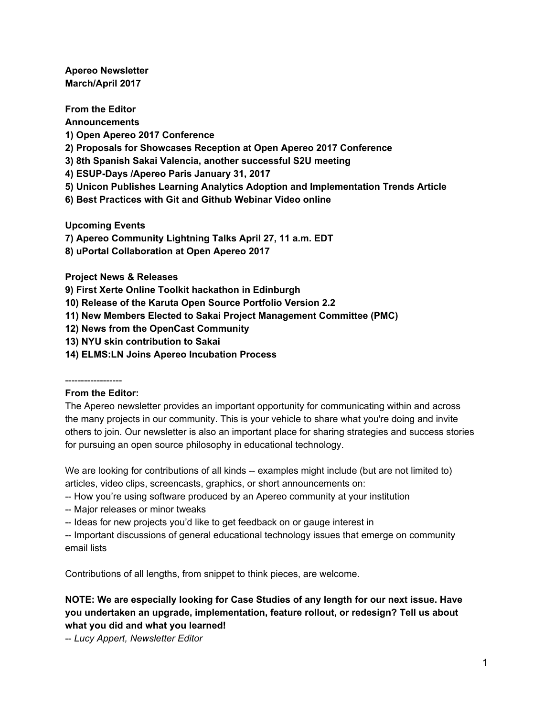**Apereo Newsletter March/April 2017**

**From the Editor Announcements 1) Open Apereo 2017 Conference 2) Proposals for Showcases Reception at Open Apereo 2017 Conference 3) 8th Spanish Sakai Valencia, another successful S2U meeting 4) ESUP-Days /Apereo Paris January 31, 2017 5) Unicon Publishes Learning Analytics Adoption and Implementation Trends Article 6) Best Practices with Git and Github Webinar Video online**

**Upcoming Events**

**7) Apereo Community Lightning Talks April 27, 11 a.m. EDT**

**8) uPortal Collaboration at Open Apereo 2017**

**Project News & Releases**

**9) First Xerte Online Toolkit hackathon in Edinburgh**

**10) Release of the Karuta Open Source Portfolio Version 2.2**

**11) New Members Elected to Sakai Project Management Committee (PMC)**

**12) News from the OpenCast Community**

**13) NYU skin contribution to Sakai**

**14) ELMS:LN Joins Apereo Incubation Process**

------------------

### **From the Editor:**

The Apereo newsletter provides an important opportunity for communicating within and across the many projects in our community. This is your vehicle to share what you're doing and invite others to join. Our newsletter is also an important place for sharing strategies and success stories for pursuing an open source philosophy in educational technology.

We are looking for contributions of all kinds -- examples might include (but are not limited to) articles, video clips, screencasts, graphics, or short announcements on:

- -- How you're using software produced by an Apereo community at your institution
- -- Major releases or minor tweaks
- -- Ideas for new projects you'd like to get feedback on or gauge interest in

-- Important discussions of general educational technology issues that emerge on community email lists

Contributions of all lengths, from snippet to think pieces, are welcome.

## **NOTE: We are especially looking for Case Studies of any length for our next issue. Have you undertaken an upgrade, implementation, feature rollout, or redesign? Tell us about what you did and what you learned!**

-- *Lucy Appert, Newsletter Editor*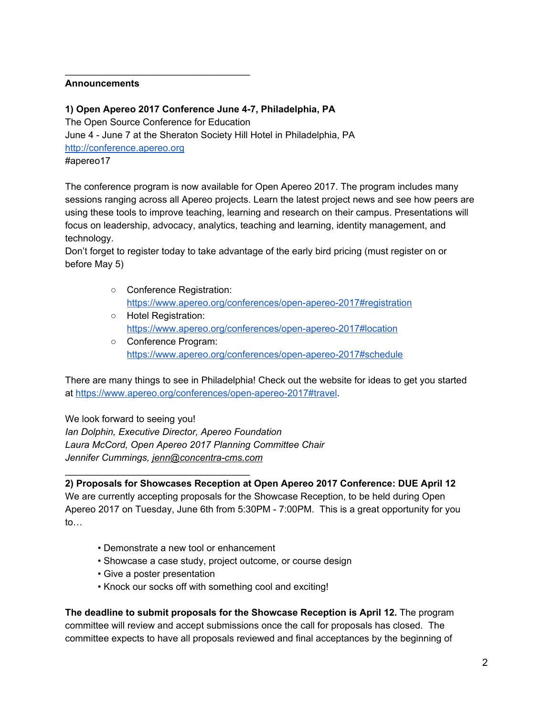#### **Announcements**

### **1) Open Apereo 2017 Conference June 4-7, Philadelphia, PA**

\_\_\_\_\_\_\_\_\_\_\_\_\_\_\_\_\_\_\_\_\_\_\_\_\_\_\_\_\_\_\_\_\_\_\_

The Open Source Conference for Education June 4 - June 7 at the Sheraton Society Hill Hotel in Philadelphia, PA [http://conference.apereo.org](http://conference.apereo.org/) #apereo17

The conference program is now available for Open Apereo 2017. The program includes many sessions ranging across all Apereo projects. Learn the latest project news and see how peers are using these tools to improve teaching, learning and research on their campus. Presentations will focus on leadership, advocacy, analytics, teaching and learning, identity management, and technology.

Don't forget to register today to take advantage of the early bird pricing (must register on or before May 5)

- Conference Registration[:](https://www.apereo.org/conferences/open-apereo-2017#registration) <https://www.apereo.org/conferences/open-apereo-2017#registration>
- Hotel Registration[:](https://www.apereo.org/conferences/open-apereo-2017#location) <https://www.apereo.org/conferences/open-apereo-2017#location>
- Conference Program[:](https://www.apereo.org/conferences/open-apereo-2017#schedule) <https://www.apereo.org/conferences/open-apereo-2017#schedule>

There are many things to see in Philadelphia! Check out the website for ideas to get you started a[t](https://www.apereo.org/conferences/open-apereo-2017#travel) [https://www.apereo.org/conferences/open-apereo-2017#travel.](https://www.apereo.org/conferences/open-apereo-2017#travel)

We look forward to seeing you! *Ian Dolphin, Executive Director, Apereo Foundation Laura McCord, Open Apereo 2017 Planning Committee Chair Jennifer Cummings, jenn@concentra-cms.com*

# **2) Proposals for Showcases Reception at Open Apereo 2017 Conference: DUE April 12**

We are currently accepting proposals for the Showcase Reception, to be held during Open Apereo 2017 on Tuesday, June 6th from 5:30PM - 7:00PM. This is a great opportunity for you to…

- Demonstrate a new tool or enhancement
- Showcase a case study, project outcome, or course design
- Give a poster presentation

\_\_\_\_\_\_\_\_\_\_\_\_\_\_\_\_\_\_\_\_\_\_\_\_\_\_\_\_\_\_\_\_\_\_\_

• Knock our socks off with something cool and exciting!

**The deadline to submit proposals for the Showcase Reception is April 12.** The program committee will review and accept submissions once the call for proposals has closed. The committee expects to have all proposals reviewed and final acceptances by the beginning of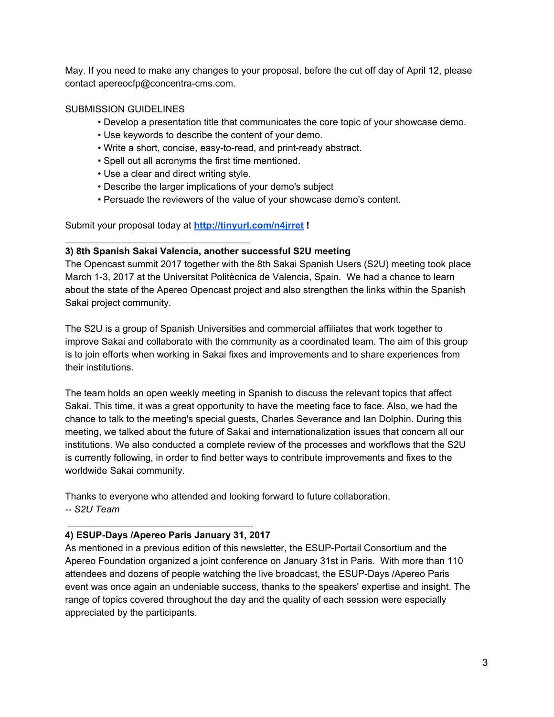May. If you need to make any changes to your proposal, before the cut off day of April 12, please contact apereocfp@concentra-cms.com.

## SUBMISSION GUIDELINES

- Develop a presentation title that communicates the core topic of your showcase demo.
- Use keywords to describe the content of your demo.
- Write a short, concise, easy-to-read, and print-ready abstract.
- Spell out all acronyms the first time mentioned.
- Use a clear and direct writing style.

\_\_\_\_\_\_\_\_\_\_\_\_\_\_\_\_\_\_\_\_\_\_\_\_\_\_\_\_\_\_\_\_\_\_\_

- Describe the larger implications of your demo's subject
- Persuade the reviewers of the value of your showcase demo's content.

Submit your proposal today a[t](http://tinyurl.com/n4jrret) **<http://tinyurl.com/n4jrret> !**

### **3) 8th Spanish Sakai Valencia, another successful S2U meeting**

The Opencast summit 2017 together with the 8th Sakai Spanish Users (S2U) meeting took place March 1-3, 2017 at the Universitat Politècnica de Valencia, Spain. We had a chance to learn about the state of the Apereo Opencast project and also strengthen the links within the Spanish Sakai project community.

The S2U is a group of Spanish Universities and commercial affiliates that work together to improve Sakai and collaborate with the community as a coordinated team. The aim of this group is to join efforts when working in Sakai fixes and improvements and to share experiences from their institutions.

The team holds an open weekly meeting in Spanish to discuss the relevant topics that affect Sakai. This time, it was a great opportunity to have the meeting face to face. Also, we had the chance to talk to the meeting's special guests, Charles Severance and Ian Dolphin. During this meeting, we talked about the future of Sakai and internationalization issues that concern all our institutions. We also conducted a complete review of the processes and workflows that the S2U is currently following, in order to find better ways to contribute improvements and fixes to the worldwide Sakai community.

Thanks to everyone who attended and looking forward to future collaboration. *-- S2U Team*

# **4) ESUP-Days /Apereo Paris January 31, 2017**

\_\_\_\_\_\_\_\_\_\_\_\_\_\_\_\_\_\_\_\_\_\_\_\_\_\_\_\_\_\_\_\_\_\_\_

As mentioned in a previous edition of this newsletter, the ESUP-Portail Consortium and the Apereo Foundation organized a joint conference on January 31st in Paris. With more than 110 attendees and dozens of people watching the live broadcast, the ESUP-Days /Apereo Paris event was once again an undeniable success, thanks to the speakers' expertise and insight. The range of topics covered throughout the day and the quality of each session were especially appreciated by the participants.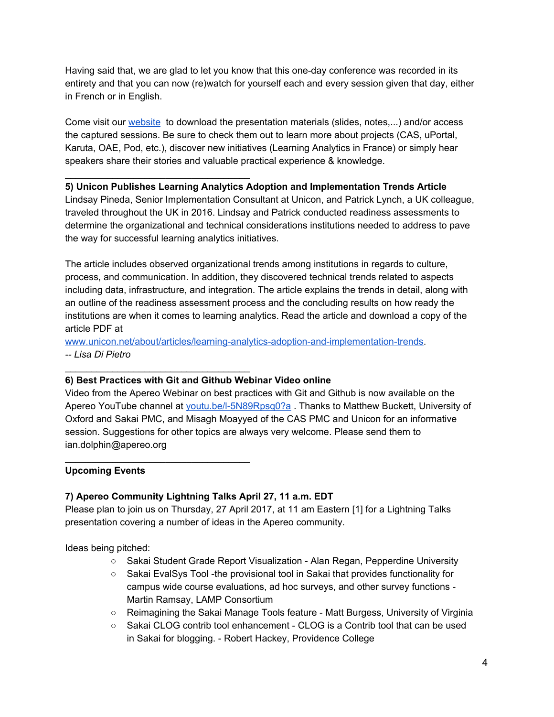Having said that, we are glad to let you know that this one-day conference was recorded in its entirety and that you can now (re)watch for yourself each and every session given that day, either in French or in English.

Come visit ou[r](https://www.esup-portail.org/wiki/pages/viewpage.action?pageId=608043012) [website](https://www.esup-portail.org/wiki/pages/viewpage.action?pageId=608043012) to download the presentation materials (slides, notes,...) and/or access the captured sessions. Be sure to check them out to learn more about projects (CAS, uPortal, Karuta, OAE, Pod, etc.), discover new initiatives (Learning Analytics in France) or simply hear speakers share their stories and valuable practical experience & knowledge.

## **5) Unicon Publishes Learning Analytics Adoption and Implementation Trends Article**

Lindsay Pineda, Senior Implementation Consultant at Unicon, and Patrick Lynch, a UK colleague, traveled throughout the UK in 2016. Lindsay and Patrick conducted readiness assessments to determine the organizational and technical considerations institutions needed to address to pave the way for successful learning analytics initiatives.

The article includes observed organizational trends among institutions in regards to culture, process, and communication. In addition, they discovered technical trends related to aspects including data, infrastructure, and integration. The article explains the trends in detail, along with an outline of the readiness assessment process and the concluding results on how ready the institutions are when it comes to learning analytics. Read the article and download a copy of the article PDF a[t](http://www.unicon.net/about/articles/learning-analytics-adoption-and-implementation-trends)

[www.unicon.net/about/articles/learning-analytics-adoption-and-implementation-trends.](http://www.unicon.net/about/articles/learning-analytics-adoption-and-implementation-trends) *-- Lisa Di Pietro*

# **6) Best Practices with Git and Github Webinar Video online**

\_\_\_\_\_\_\_\_\_\_\_\_\_\_\_\_\_\_\_\_\_\_\_\_\_\_\_\_\_\_\_\_\_\_\_

\_\_\_\_\_\_\_\_\_\_\_\_\_\_\_\_\_\_\_\_\_\_\_\_\_\_\_\_\_\_\_\_\_\_\_

\_\_\_\_\_\_\_\_\_\_\_\_\_\_\_\_\_\_\_\_\_\_\_\_\_\_\_\_\_\_\_\_\_\_\_

Video from the Apereo Webinar on best practices with Git and Github is now available on the Apereo YouTube channel a[t](http://youtu.be/l-5N89Rpsq0?a) [youtu.be/l-5N89Rpsq0?a](http://youtu.be/l-5N89Rpsq0?a) . Thanks to Matthew Buckett, University of Oxford and Sakai PMC, and Misagh Moayyed of the CAS PMC and Unicon for an informative session. Suggestions for other topics are always very welcome. Please send them to ian.dolphin@apereo.org

### **Upcoming Events**

# **7) Apereo Community Lightning Talks April 27, 11 a.m. EDT**

Please plan to join us on Thursday, 27 April 2017, at 11 am Eastern [1] for a Lightning Talks presentation covering a number of ideas in the Apereo community.

Ideas being pitched:

- Sakai Student Grade Report Visualization Alan Regan, Pepperdine University
- Sakai EvalSys Tool -the provisional tool in Sakai that provides functionality for campus wide course evaluations, ad hoc surveys, and other survey functions - Martin Ramsay, LAMP Consortium
- Reimagining the Sakai Manage Tools feature Matt Burgess, University of Virginia
- Sakai CLOG contrib tool enhancement CLOG is a Contrib tool that can be used in Sakai for blogging. - Robert Hackey, Providence College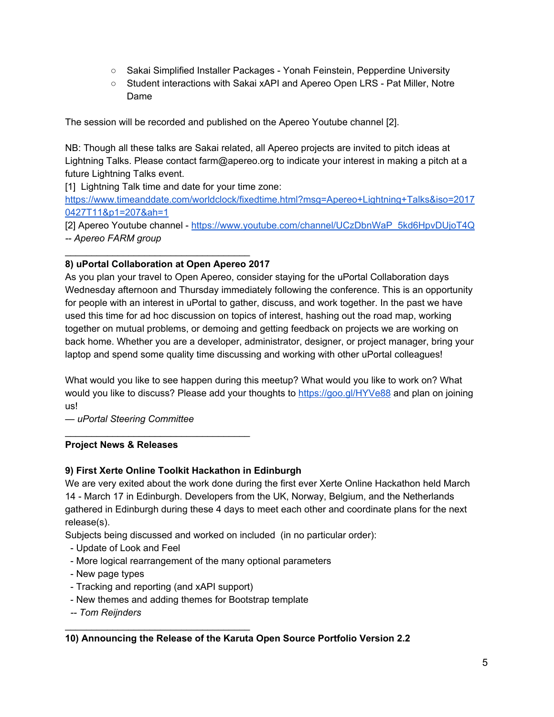- Sakai Simplified Installer Packages Yonah Feinstein, Pepperdine University
- Student interactions with Sakai xAPI and Apereo Open LRS Pat Miller, Notre Dame

The session will be recorded and published on the Apereo Youtube channel [2].

NB: Though all these talks are Sakai related, all Apereo projects are invited to pitch ideas at Lightning Talks. Please contact farm@apereo.org to indicate your interest in making a pitch at a future Lightning Talks event.

[1] Lightning Talk time and date for your time zone:

[https://www.timeanddate.com/worldclock/fixedtime.html?msg=Apereo+Lightning+Talks&iso=2017](https://www.timeanddate.com/worldclock/fixedtime.html?msg=Apereo+Lightning+Talks&iso=20170427T11&p1=207&ah=1) [0427T11&p1=207&ah=1](https://www.timeanddate.com/worldclock/fixedtime.html?msg=Apereo+Lightning+Talks&iso=20170427T11&p1=207&ah=1)

[2] Apereo Youtube channel [-](https://www.youtube.com/channel/UCzDbnWaP_5kd6HpvDUjoT4Q) [https://www.youtube.com/channel/UCzDbnWaP\\_5kd6HpvDUjoT4Q](https://www.youtube.com/channel/UCzDbnWaP_5kd6HpvDUjoT4Q) *-- Apereo FARM group*

## **8) uPortal Collaboration at Open Apereo 2017**

\_\_\_\_\_\_\_\_\_\_\_\_\_\_\_\_\_\_\_\_\_\_\_\_\_\_\_\_\_\_\_\_\_\_\_

As you plan your travel to Open Apereo, consider staying for the uPortal Collaboration days Wednesday afternoon and Thursday immediately following the conference. This is an opportunity for people with an interest in uPortal to gather, discuss, and work together. In the past we have used this time for ad hoc discussion on topics of interest, hashing out the road map, working together on mutual problems, or demoing and getting feedback on projects we are working on back home. Whether you are a developer, administrator, designer, or project manager, bring your laptop and spend some quality time discussing and working with other uPortal colleagues!

What would you like to see happen during this meetup? What would you like to work on? What would you like to discuss? Please add your thoughts to <https://goo.gl/HYVe88>and plan on joining us!

*— uPortal Steering Committee*

\_\_\_\_\_\_\_\_\_\_\_\_\_\_\_\_\_\_\_\_\_\_\_\_\_\_\_\_\_\_\_\_\_\_\_

### **Project News & Releases**

# **9) First Xerte Online Toolkit Hackathon in Edinburgh**

We are very exited about the work done during the first ever Xerte Online Hackathon held March 14 - March 17 in Edinburgh. Developers from the UK, Norway, Belgium, and the Netherlands gathered in Edinburgh during these 4 days to meet each other and coordinate plans for the next release(s).

Subjects being discussed and worked on included (in no particular order):

- Update of Look and Feel
- More logical rearrangement of the many optional parameters
- New page types
- Tracking and reporting (and xAPI support)

\_\_\_\_\_\_\_\_\_\_\_\_\_\_\_\_\_\_\_\_\_\_\_\_\_\_\_\_\_\_\_\_\_\_\_

- New themes and adding themes for Bootstrap template
- *-- Tom Reijnders*

### **10) Announcing the Release of the Karuta Open Source Portfolio Version 2.2**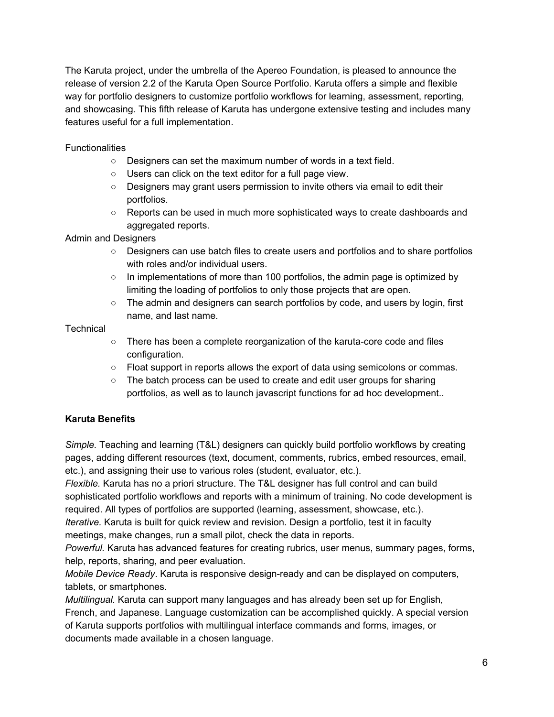The Karuta project, under the umbrella of the Apereo Foundation, is pleased to announce the release of version 2.2 of the Karuta Open Source Portfolio. Karuta offers a simple and flexible way for portfolio designers to customize portfolio workflows for learning, assessment, reporting, and showcasing. This fifth release of Karuta has undergone extensive testing and includes many features useful for a full implementation.

## **Functionalities**

- Designers can set the maximum number of words in a text field.
- Users can click on the text editor for a full page view.
- Designers may grant users permission to invite others via email to edit their portfolios.
- Reports can be used in much more sophisticated ways to create dashboards and aggregated reports.

### Admin and Designers

- Designers can use batch files to create users and portfolios and to share portfolios with roles and/or individual users.
- $\circ$  In implementations of more than 100 portfolios, the admin page is optimized by limiting the loading of portfolios to only those projects that are open.
- The admin and designers can search portfolios by code, and users by login, first name, and last name.

## **Technical**

- There has been a complete reorganization of the karuta-core code and files configuration.
- Float support in reports allows the export of data using semicolons or commas.
- The batch process can be used to create and edit user groups for sharing portfolios, as well as to launch javascript functions for ad hoc development..

# **Karuta Benefits**

*Simple.* Teaching and learning (T&L) designers can quickly build portfolio workflows by creating pages, adding different resources (text, document, comments, rubrics, embed resources, email, etc.), and assigning their use to various roles (student, evaluator, etc.).

*Flexible.* Karuta has no a priori structure. The T&L designer has full control and can build sophisticated portfolio workflows and reports with a minimum of training. No code development is required. All types of portfolios are supported (learning, assessment, showcase, etc.).

*Iterative.* Karuta is built for quick review and revision. Design a portfolio, test it in faculty meetings, make changes, run a small pilot, check the data in reports.

*Powerful.* Karuta has advanced features for creating rubrics, user menus, summary pages, forms, help, reports, sharing, and peer evaluation.

*Mobile Device Ready*. Karuta is responsive design-ready and can be displayed on computers, tablets, or smartphones.

*Multilingual.* Karuta can support many languages and has already been set up for English, French, and Japanese. Language customization can be accomplished quickly. A special version of Karuta supports portfolios with multilingual interface commands and forms, images, or documents made available in a chosen language.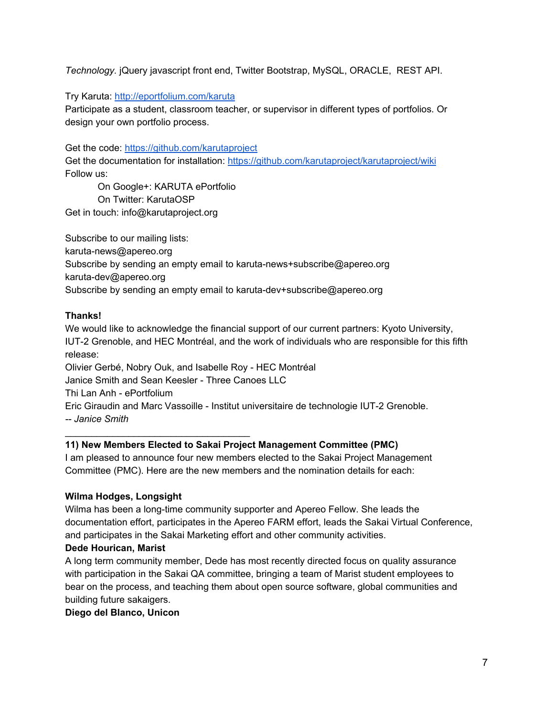*Technology.* jQuery javascript front end, Twitter Bootstrap, MySQL, ORACLE, REST API.

Try Karuta: <http://eportfolium.com/karuta>

Participate as a student, classroom teacher, or supervisor in different types of portfolios. Or design your own portfolio process.

Get the code: <https://github.com/karutaproject>

Get the documentation for installation[:](https://github.com/karutaproject/karutaproject/wiki) <https://github.com/karutaproject/karutaproject/wiki> Follow us:

On Google+: KARUTA ePortfolio On Twitter: KarutaOSP Get in touch: info@karutaproject.org

Subscribe to our mailing lists: karuta-news@apereo.org Subscribe by sending an empty email to karuta-news+subscribe@apereo.org karuta-dev@apereo.org Subscribe by sending an empty email to karuta-dev+subscribe@apereo.org

### **Thanks!**

We would like to acknowledge the financial support of our current partners: Kyoto University, IUT-2 Grenoble, and HEC Montréal, and the work of individuals who are responsible for this fifth release: Olivier Gerbé, Nobry Ouk, and Isabelle Roy - HEC Montréal Janice Smith and Sean Keesler - Three Canoes LLC Thi Lan Anh - ePortfolium Eric Giraudin and Marc Vassoille - Institut universitaire de technologie IUT-2 Grenoble. *-- Janice Smith*

### **11) New Members Elected to Sakai Project Management Committee (PMC)**

I am pleased to announce four new members elected to the Sakai Project Management Committee (PMC). Here are the new members and the nomination details for each:

### **Wilma Hodges, Longsight**

\_\_\_\_\_\_\_\_\_\_\_\_\_\_\_\_\_\_\_\_\_\_\_\_\_\_\_\_\_\_\_\_\_\_\_

Wilma has been a long-time community supporter and Apereo Fellow. She leads the documentation effort, participates in the Apereo FARM effort, leads the Sakai Virtual Conference, and participates in the Sakai Marketing effort and other community activities.

### **Dede Hourican, Marist**

A long term community member, Dede has most recently directed focus on quality assurance with participation in the Sakai QA committee, bringing a team of Marist student employees to bear on the process, and teaching them about open source software, global communities and building future sakaigers.

### **Diego del Blanco, Unicon**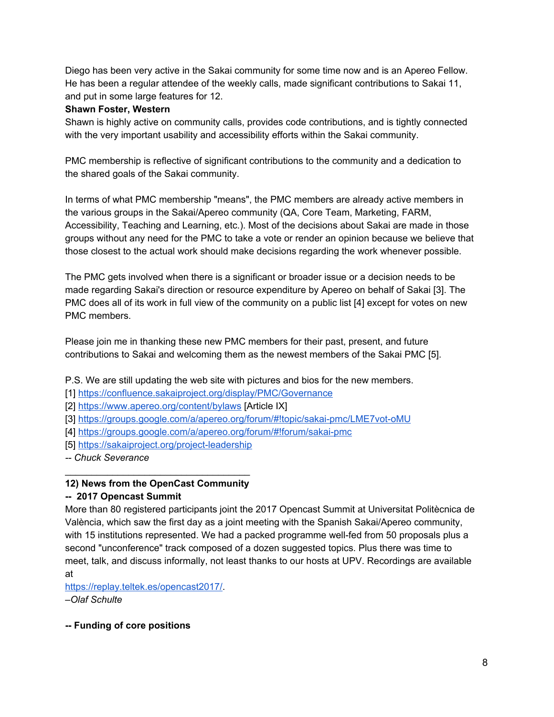Diego has been very active in the Sakai community for some time now and is an Apereo Fellow. He has been a regular attendee of the weekly calls, made significant contributions to Sakai 11, and put in some large features for 12.

### **Shawn Foster, Western**

Shawn is highly active on community calls, provides code contributions, and is tightly connected with the very important usability and accessibility efforts within the Sakai community.

PMC membership is reflective of significant contributions to the community and a dedication to the shared goals of the Sakai community.

In terms of what PMC membership "means", the PMC members are already active members in the various groups in the Sakai/Apereo community (QA, Core Team, Marketing, FARM, Accessibility, Teaching and Learning, etc.). Most of the decisions about Sakai are made in those groups without any need for the PMC to take a vote or render an opinion because we believe that those closest to the actual work should make decisions regarding the work whenever possible.

The PMC gets involved when there is a significant or broader issue or a decision needs to be made regarding Sakai's direction or resource expenditure by Apereo on behalf of Sakai [3]. The PMC does all of its work in full view of the community on a public list [4] except for votes on new PMC members.

Please join me in thanking these new PMC members for their past, present, and future contributions to Sakai and welcoming them as the newest members of the Sakai PMC [5].

P.S. We are still updating the web site with pictures and bios for the new members.

[1[\]](https://confluence.sakaiproject.org/display/PMC/Governance) <https://confluence.sakaiproject.org/display/PMC/Governance>

- [2[\]](https://www.apereo.org/content/bylaws) <https://www.apereo.org/content/bylaws>[Article IX]
- [3[\]](https://groups.google.com/a/apereo.org/forum/#%21topic/sakai-pmc/LME7vot-oMU) [https://groups.google.com/a/apereo.org/forum/#!topic/sakai-pmc/LME7vot-oMU](https://groups.google.com/a/apereo.org/forum/#%21topic/sakai-pmc/LME7vot-oMU)
- [4[\]](https://groups.google.com/a/apereo.org/forum/#%21forum/sakai-pmc) [https://groups.google.com/a/apereo.org/forum/#!forum/sakai-pmc](https://groups.google.com/a/apereo.org/forum/#%21forum/sakai-pmc)
- [5[\]](https://sakaiproject.org/project-leadership) <https://sakaiproject.org/project-leadership>

*-- Chuck Severance*

### \_\_\_\_\_\_\_\_\_\_\_\_\_\_\_\_\_\_\_\_\_\_\_\_\_\_\_\_\_\_\_\_\_\_\_ **12) News from the OpenCast Community**

### **-- 2017 Opencast Summit**

More than 80 registered participants joint the 2017 Opencast Summit at Universitat Politècnica de València, which saw the first day as a joint meeting with the Spanish Sakai/Apereo community, with 15 institutions represented. We had a packed programme well-fed from 50 proposals plus a second "unconference" track composed of a dozen suggested topics. Plus there was time to meet, talk, and discuss informally, not least thanks to our hosts at UPV. Recordings are available at

[https://replay.teltek.es/opencast2017/.](https://replay.teltek.es/opencast2017/)

*–Olaf Schulte*

### **-- Funding of core positions**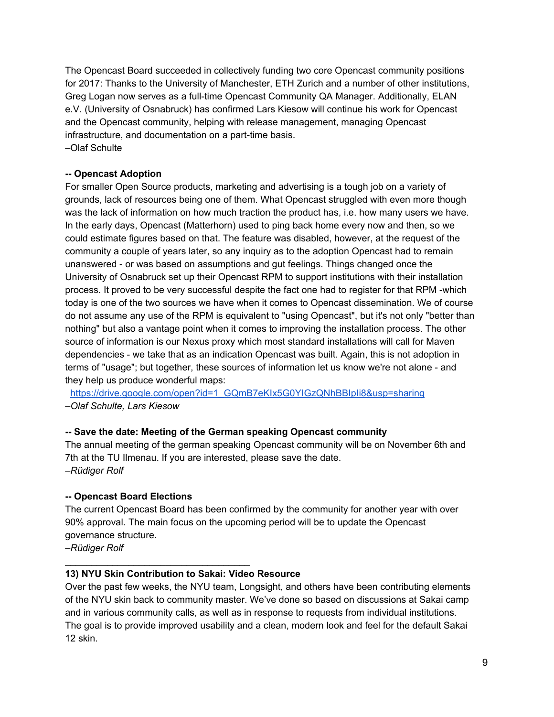The Opencast Board succeeded in collectively funding two core Opencast community positions for 2017: Thanks to the University of Manchester, ETH Zurich and a number of other institutions, Greg Logan now serves as a full-time Opencast Community QA Manager. Additionally, ELAN e.V. (University of Osnabruck) has confirmed Lars Kiesow will continue his work for Opencast and the Opencast community, helping with release management, managing Opencast infrastructure, and documentation on a part-time basis. –Olaf Schulte

### **-- Opencast Adoption**

For smaller Open Source products, marketing and advertising is a tough job on a variety of grounds, lack of resources being one of them. What Opencast struggled with even more though was the lack of information on how much traction the product has, i.e. how many users we have. In the early days, Opencast (Matterhorn) used to ping back home every now and then, so we could estimate figures based on that. The feature was disabled, however, at the request of the community a couple of years later, so any inquiry as to the adoption Opencast had to remain unanswered - or was based on assumptions and gut feelings. Things changed once the University of Osnabruck set up their Opencast RPM to support institutions with their installation process. It proved to be very successful despite the fact one had to register for that RPM -which today is one of the two sources we have when it comes to Opencast dissemination. We of course do not assume any use of the RPM is equivalent to "using Opencast", but it's not only "better than nothing" but also a vantage point when it comes to improving the installation process. The other source of information is our Nexus proxy which most standard installations will call for Maven dependencies - we take that as an indication Opencast was built. Again, this is not adoption in terms of "usage"; but together, these sources of information let us know we're not alone - and they help us produce wonderful maps:

[https://drive.google.com/open?id=1\\_GQmB7eKIx5G0YIGzQNhBBIpIi8&usp=sharing](https://drive.google.com/open?id=1_GQmB7eKIx5G0YIGzQNhBBIpIi8&usp=sharing) *–Olaf Schulte, Lars Kiesow*

### **-- Save the date: Meeting of the German speaking Opencast community**

The annual meeting of the german speaking Opencast community will be on November 6th and 7th at the TU Ilmenau. If you are interested, please save the date. *–Rüdiger Rolf*

### **-- Opencast Board Elections**

The current Opencast Board has been confirmed by the community for another year with over 90% approval. The main focus on the upcoming period will be to update the Opencast governance structure.

*–Rüdiger Rolf*

### **13) NYU Skin Contribution to Sakai: Video Resource**

\_\_\_\_\_\_\_\_\_\_\_\_\_\_\_\_\_\_\_\_\_\_\_\_\_\_\_\_\_\_\_\_\_\_\_

Over the past few weeks, the NYU team, Longsight, and others have been contributing elements of the NYU skin back to community master. We've done so based on discussions at Sakai camp and in various community calls, as well as in response to requests from individual institutions. The goal is to provide improved usability and a clean, modern look and feel for the default Sakai 12 skin.